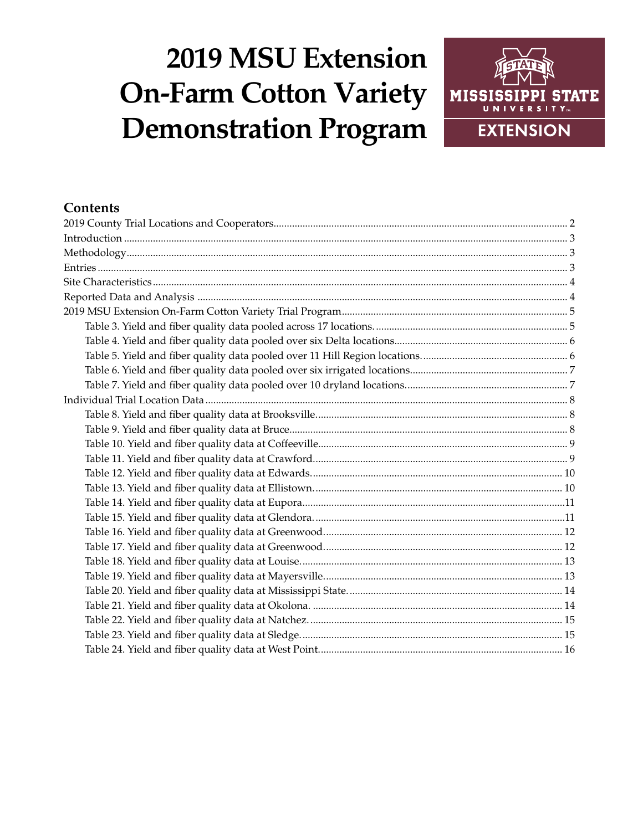# **2019 MSU Extension On-Farm Cotton Variety Demonstration Program**



# **Contents**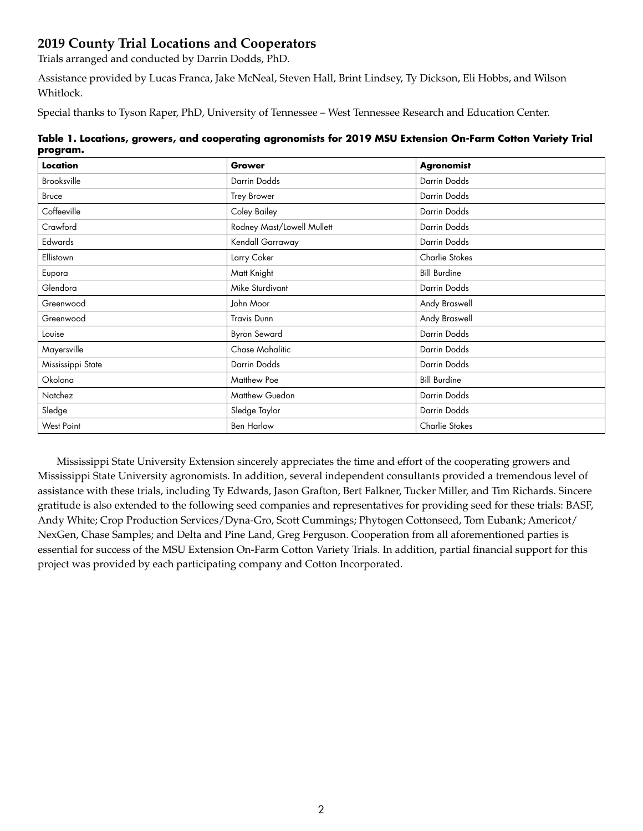# <span id="page-1-0"></span>**2019 County Trial Locations and Cooperators**

Trials arranged and conducted by Darrin Dodds, PhD.

Assistance provided by Lucas Franca, Jake McNeal, Steven Hall, Brint Lindsey, Ty Dickson, Eli Hobbs, and Wilson Whitlock.

Special thanks to Tyson Raper, PhD, University of Tennessee – West Tennessee Research and Education Center.

|          | Table 1. Locations, growers, and cooperating agronomists for 2019 MSU Extension On-Farm Cotton Variety Trial |
|----------|--------------------------------------------------------------------------------------------------------------|
| program. |                                                                                                              |

| Location          | Grower                     | Agronomist          |
|-------------------|----------------------------|---------------------|
| Brooksville       | Darrin Dodds               | Darrin Dodds        |
| Bruce             | <b>Trey Brower</b>         | Darrin Dodds        |
| Coffeeville       | Coley Bailey               | Darrin Dodds        |
| Crawford          | Rodney Mast/Lowell Mullett | Darrin Dodds        |
| Edwards           | Kendall Garraway           | Darrin Dodds        |
| Ellistown         | Larry Coker                | Charlie Stokes      |
| Eupora            | Matt Knight                | <b>Bill Burdine</b> |
| Glendora          | Mike Sturdivant            | Darrin Dodds        |
| Greenwood         | John Moor                  | Andy Braswell       |
| Greenwood         | <b>Travis Dunn</b>         | Andy Braswell       |
| Louise            | <b>Byron Seward</b>        | Darrin Dodds        |
| Mayersville       | <b>Chase Mahalitic</b>     | Darrin Dodds        |
| Mississippi State | Darrin Dodds               | Darrin Dodds        |
| Okolona           | Matthew Poe                | <b>Bill Burdine</b> |
| Natchez           | Matthew Guedon             | Darrin Dodds        |
| Sledge            | Sledge Taylor              | Darrin Dodds        |
| West Point        | <b>Ben Harlow</b>          | Charlie Stokes      |

Mississippi State University Extension sincerely appreciates the time and effort of the cooperating growers and Mississippi State University agronomists. In addition, several independent consultants provided a tremendous level of assistance with these trials, including Ty Edwards, Jason Grafton, Bert Falkner, Tucker Miller, and Tim Richards. Sincere gratitude is also extended to the following seed companies and representatives for providing seed for these trials: BASF, Andy White; Crop Production Services/Dyna-Gro, Scott Cummings; Phytogen Cottonseed, Tom Eubank; Americot/ NexGen, Chase Samples; and Delta and Pine Land, Greg Ferguson. Cooperation from all aforementioned parties is essential for success of the MSU Extension On-Farm Cotton Variety Trials. In addition, partial financial support for this project was provided by each participating company and Cotton Incorporated.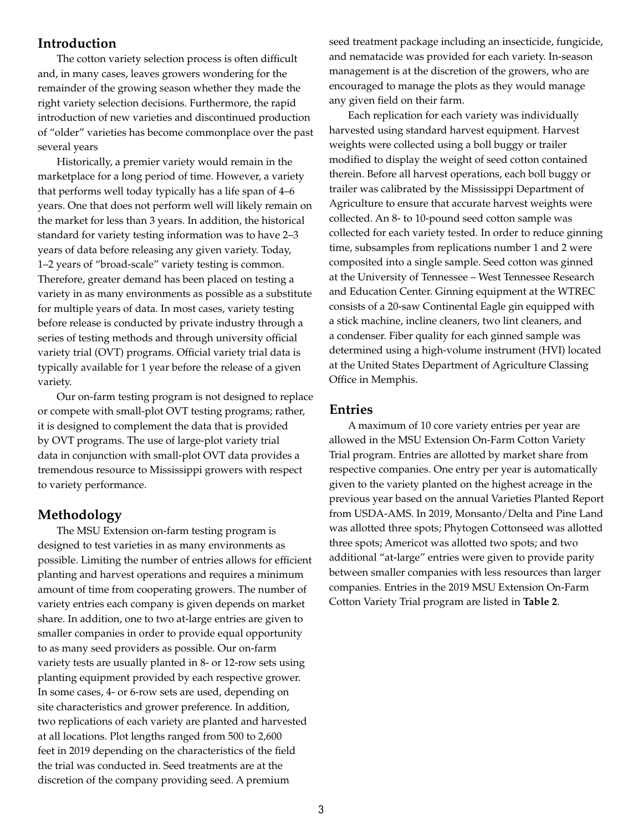#### <span id="page-2-0"></span>**Introduction**

The cotton variety selection process is often difficult and, in many cases, leaves growers wondering for the remainder of the growing season whether they made the right variety selection decisions. Furthermore, the rapid introduction of new varieties and discontinued production of "older" varieties has become commonplace over the past several years

Historically, a premier variety would remain in the marketplace for a long period of time. However, a variety that performs well today typically has a life span of 4–6 years. One that does not perform well will likely remain on the market for less than 3 years. In addition, the historical standard for variety testing information was to have 2–3 years of data before releasing any given variety. Today, 1–2 years of "broad-scale" variety testing is common. Therefore, greater demand has been placed on testing a variety in as many environments as possible as a substitute for multiple years of data. In most cases, variety testing before release is conducted by private industry through a series of testing methods and through university official variety trial (OVT) programs. Official variety trial data is typically available for 1 year before the release of a given variety.

Our on-farm testing program is not designed to replace or compete with small-plot OVT testing programs; rather, it is designed to complement the data that is provided by OVT programs. The use of large-plot variety trial data in conjunction with small-plot OVT data provides a tremendous resource to Mississippi growers with respect to variety performance.

### **Methodology**

The MSU Extension on-farm testing program is designed to test varieties in as many environments as possible. Limiting the number of entries allows for efficient planting and harvest operations and requires a minimum amount of time from cooperating growers. The number of variety entries each company is given depends on market share. In addition, one to two at-large entries are given to smaller companies in order to provide equal opportunity to as many seed providers as possible. Our on-farm variety tests are usually planted in 8- or 12-row sets using planting equipment provided by each respective grower. In some cases, 4- or 6-row sets are used, depending on site characteristics and grower preference. In addition, two replications of each variety are planted and harvested at all locations. Plot lengths ranged from 500 to 2,600 feet in 2019 depending on the characteristics of the field the trial was conducted in. Seed treatments are at the discretion of the company providing seed. A premium

seed treatment package including an insecticide, fungicide, and nematacide was provided for each variety. In-season management is at the discretion of the growers, who are encouraged to manage the plots as they would manage any given field on their farm.

Each replication for each variety was individually harvested using standard harvest equipment. Harvest weights were collected using a boll buggy or trailer modified to display the weight of seed cotton contained therein. Before all harvest operations, each boll buggy or trailer was calibrated by the Mississippi Department of Agriculture to ensure that accurate harvest weights were collected. An 8- to 10-pound seed cotton sample was collected for each variety tested. In order to reduce ginning time, subsamples from replications number 1 and 2 were composited into a single sample. Seed cotton was ginned at the University of Tennessee – West Tennessee Research and Education Center. Ginning equipment at the WTREC consists of a 20-saw Continental Eagle gin equipped with a stick machine, incline cleaners, two lint cleaners, and a condenser. Fiber quality for each ginned sample was determined using a high-volume instrument (HVI) located at the United States Department of Agriculture Classing Office in Memphis.

#### **Entries**

A maximum of 10 core variety entries per year are allowed in the MSU Extension On-Farm Cotton Variety Trial program. Entries are allotted by market share from respective companies. One entry per year is automatically given to the variety planted on the highest acreage in the previous year based on the annual Varieties Planted Report from USDA-AMS. In 2019, Monsanto/Delta and Pine Land was allotted three spots; Phytogen Cottonseed was allotted three spots; Americot was allotted two spots; and two additional "at-large" entries were given to provide parity between smaller companies with less resources than larger companies. Entries in the 2019 MSU Extension On-Farm Cotton Variety Trial program are listed in **Table 2**.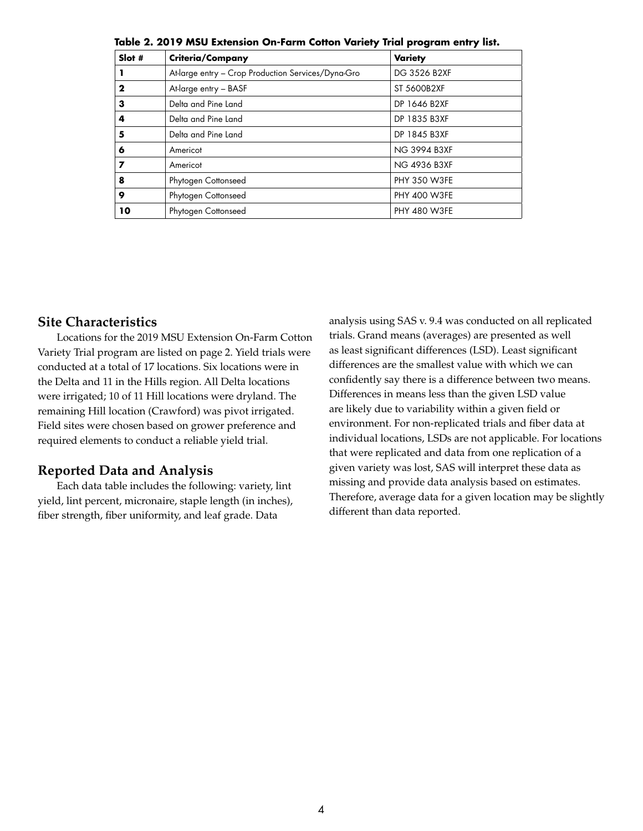| Slot # | Criteria/Company                                   | <b>Variety</b>      |
|--------|----------------------------------------------------|---------------------|
|        | At-large entry - Crop Production Services/Dyna-Gro | DG 3526 B2XF        |
| 2      | At-large entry - BASF                              | ST 5600B2XF         |
| 3      | Delta and Pine Land                                | DP 1646 B2XF        |
| 4      | Delta and Pine Land                                | DP 1835 B3XF        |
| 5      | Delta and Pine Land                                | DP 1845 B3XF        |
| 6      | Americot                                           | <b>NG 3994 B3XF</b> |
| 7      | Americot                                           | <b>NG 4936 B3XF</b> |
| 8      | Phytogen Cottonseed                                | <b>PHY 350 W3FE</b> |
| 9      | Phytogen Cottonseed                                | <b>PHY 400 W3FE</b> |
| 10     | Phytogen Cottonseed                                | <b>PHY 480 W3FE</b> |

<span id="page-3-0"></span>**Table 2. 2019 MSU Extension On-Farm Cotton Variety Trial program entry list.**

# **Site Characteristics**

Locations for the 2019 MSU Extension On-Farm Cotton Variety Trial program are listed on page 2. Yield trials were conducted at a total of 17 locations. Six locations were in the Delta and 11 in the Hills region. All Delta locations were irrigated; 10 of 11 Hill locations were dryland. The remaining Hill location (Crawford) was pivot irrigated. Field sites were chosen based on grower preference and required elements to conduct a reliable yield trial.

#### **Reported Data and Analysis**

Each data table includes the following: variety, lint yield, lint percent, micronaire, staple length (in inches), fiber strength, fiber uniformity, and leaf grade. Data

analysis using SAS v. 9.4 was conducted on all replicated trials. Grand means (averages) are presented as well as least significant differences (LSD). Least significant differences are the smallest value with which we can confidently say there is a difference between two means. Differences in means less than the given LSD value are likely due to variability within a given field or environment. For non-replicated trials and fiber data at individual locations, LSDs are not applicable. For locations that were replicated and data from one replication of a given variety was lost, SAS will interpret these data as missing and provide data analysis based on estimates. Therefore, average data for a given location may be slightly different than data reported.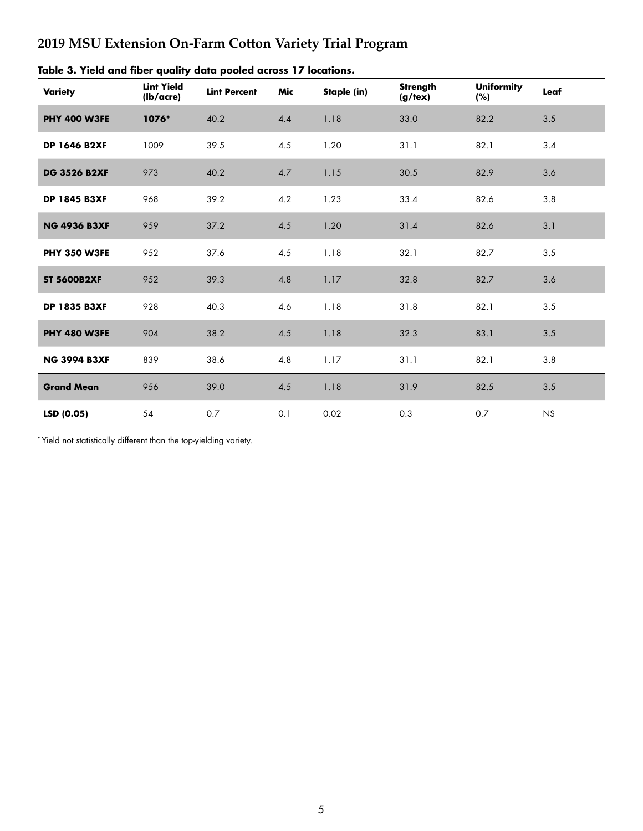# <span id="page-4-0"></span>**2019 MSU Extension On-Farm Cotton Variety Trial Program**

| Variety             | <b>Lint Yield</b><br>(lb/acre) | <b>Lint Percent</b> | Mic | Staple (in) | Strength<br>$(g/\text{tex})$ | <b>Uniformity</b><br>(%) | Leaf    |
|---------------------|--------------------------------|---------------------|-----|-------------|------------------------------|--------------------------|---------|
| <b>PHY 400 W3FE</b> | 1076*                          | 40.2                | 4.4 | 1.18        | 33.0                         | 82.2                     | 3.5     |
| <b>DP 1646 B2XF</b> | 1009                           | 39.5                | 4.5 | 1.20        | 31.1                         | 82.1                     | 3.4     |
| <b>DG 3526 B2XF</b> | 973                            | 40.2                | 4.7 | 1.15        | 30.5                         | 82.9                     | 3.6     |
| <b>DP 1845 B3XF</b> | 968                            | 39.2                | 4.2 | 1.23        | 33.4                         | 82.6                     | 3.8     |
| <b>NG 4936 B3XF</b> | 959                            | 37.2                | 4.5 | 1.20        | 31.4                         | 82.6                     | 3.1     |
| PHY 350 W3FE        | 952                            | 37.6                | 4.5 | 1.18        | 32.1                         | 82.7                     | 3.5     |
| <b>ST 5600B2XF</b>  | 952                            | 39.3                | 4.8 | 1.17        | 32.8                         | 82.7                     | 3.6     |
| <b>DP 1835 B3XF</b> | 928                            | 40.3                | 4.6 | 1.18        | 31.8                         | 82.1                     | $3.5\,$ |
| PHY 480 W3FE        | 904                            | 38.2                | 4.5 | 1.18        | 32.3                         | 83.1                     | 3.5     |
| <b>NG 3994 B3XF</b> | 839                            | 38.6                | 4.8 | 1.17        | 31.1                         | 82.1                     | 3.8     |
| <b>Grand Mean</b>   | 956                            | 39.0                | 4.5 | 1.18        | 31.9                         | 82.5                     | $3.5\,$ |
| LSD(0.05)           | 54                             | 0.7                 | 0.1 | 0.02        | 0.3                          | 0.7                      | NS      |

|  |  |  |  |  |  |  |  |  | Table 3. Yield and fiber quality data pooled across 17 locations. |
|--|--|--|--|--|--|--|--|--|-------------------------------------------------------------------|
|--|--|--|--|--|--|--|--|--|-------------------------------------------------------------------|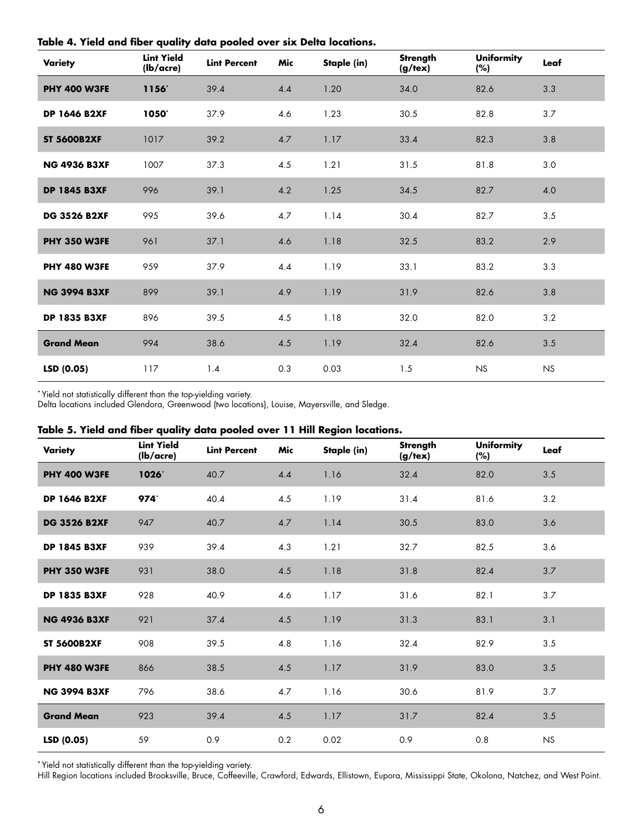| Variety             | <b>Lint Yield</b><br>(lb/acre) | <b>Lint Percent</b> | Mic     | Staple (in) | Strength<br>(g/text) | <b>Uniformity</b><br>(%) | Leaf |  |
|---------------------|--------------------------------|---------------------|---------|-------------|----------------------|--------------------------|------|--|
| <b>PHY 400 W3FE</b> | 1156                           | 39.4                | 4.4     | 1.20        | 34.0                 | 82.6                     | 3.3  |  |
| <b>DP 1646 B2XF</b> | 1050                           | 37.9                | 4.6     | 1.23        | 30.5                 | 82.8                     | 3.7  |  |
| <b>ST 5600B2XF</b>  | 1017                           | 39.2                | $4.7\,$ | 1.17        | 33.4                 | 82.3                     | 3.8  |  |
| <b>NG 4936 B3XF</b> | 1007                           | 37.3                | 4.5     | 1.21        | 31.5                 | 81.8                     | 3.0  |  |
| <b>DP 1845 B3XF</b> | 996                            | 39.1                | 4.2     | 1.25        | 34.5                 | 82.7                     | 4.0  |  |
| <b>DG 3526 B2XF</b> | 995                            | 39.6                | 4.7     | 1.14        | 30.4                 | 82.7                     | 3.5  |  |
| <b>PHY 350 W3FE</b> | 961                            | 37.1                | 4.6     | 1.18        | 32.5                 | 83.2                     | 2.9  |  |
| <b>PHY 480 W3FE</b> | 959                            | 37.9                | 4.4     | 1.19        | 33.1                 | 83.2                     | 3.3  |  |
| <b>NG 3994 B3XF</b> | 899                            | 39.1                | 4.9     | 1.19        | 31.9                 | 82.6                     | 3.8  |  |
| <b>DP 1835 B3XF</b> | 896                            | 39.5                | 4.5     | 1.18        | 32.0                 | 82.0                     | 3.2  |  |
| <b>Grand Mean</b>   | 994                            | 38.6                | 4.5     | 1.19        | 32.4                 | 82.6                     | 3.5  |  |
| LSD (0.05)          | 117                            | 1.4                 | 0.3     | 0.03        | 1.5                  | NS                       | NS   |  |

<span id="page-5-0"></span>**Table 4. Yield and fiber quality data pooled over six Delta locations.**

**\*** Yield not statistically different than the top-yielding variety.

Delta locations included Glendora, Greenwood (two locations), Louise, Mayersville, and Sledge.

#### **Table 5. Yield and fiber quality data pooled over 11 Hill Region locations.**

| Variety             | <b>Lint Yield</b><br>(lb/acre) | <b>Lint Percent</b> | Mic     | Staple (in) | Strength<br>$(g/\text{tex})$ | <b>Uniformity</b><br>(%) | Leaf    |
|---------------------|--------------------------------|---------------------|---------|-------------|------------------------------|--------------------------|---------|
| <b>PHY 400 W3FE</b> | 1026*                          | 40.7                | 4.4     | 1.16        | 32.4                         | 82.0                     | 3.5     |
| <b>DP 1646 B2XF</b> | 974*                           | 40.4                | 4.5     | 1.19        | 31.4                         | 81.6                     | 3.2     |
| <b>DG 3526 B2XF</b> | 947                            | 40.7                | $4.7\,$ | 1.14        | 30.5                         | 83.0                     | 3.6     |
| <b>DP 1845 B3XF</b> | 939                            | 39.4                | 4.3     | 1.21        | 32.7                         | 82.5                     | 3.6     |
| <b>PHY 350 W3FE</b> | 931                            | 38.0                | 4.5     | 1.18        | 31.8                         | 82.4                     | 3.7     |
| <b>DP 1835 B3XF</b> | 928                            | 40.9                | 4.6     | 1.17        | 31.6                         | 82.1                     | 3.7     |
| <b>NG 4936 B3XF</b> | 921                            | 37.4                | 4.5     | 1.19        | 31.3                         | 83.1                     | 3.1     |
| <b>ST 5600B2XF</b>  | 908                            | 39.5                | 4.8     | 1.16        | 32.4                         | 82.9                     | 3.5     |
| <b>PHY 480 W3FE</b> | 866                            | 38.5                | 4.5     | 1.17        | 31.9                         | 83.0                     | 3.5     |
| <b>NG 3994 B3XF</b> | 796                            | 38.6                | 4.7     | 1.16        | 30.6                         | 81.9                     | 3.7     |
| <b>Grand Mean</b>   | 923                            | 39.4                | $4.5\,$ | 1.17        | 31.7                         | 82.4                     | $3.5\,$ |
| LSD (0.05)          | 59                             | 0.9                 | 0.2     | 0.02        | 0.9                          | 0.8                      | NS      |

**\*** Yield not statistically different than the top-yielding variety.

Hill Region locations included Brooksville, Bruce, Coffeeville, Crawford, Edwards, Ellistown, Eupora, Mississippi State, Okolona, Natchez, and West Point.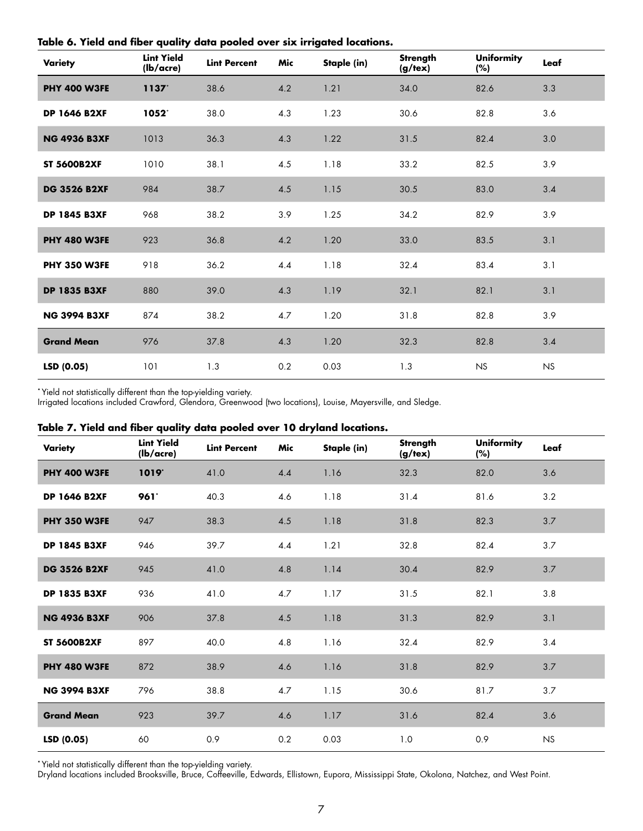| Variety             | <b>Lint Yield</b><br>(lb/acre) | <b>Lint Percent</b> | Mic | Staple (in) | Strength<br>(g/text) | <b>Uniformity</b><br>(%) | Leaf |  |
|---------------------|--------------------------------|---------------------|-----|-------------|----------------------|--------------------------|------|--|
| <b>PHY 400 W3FE</b> | 1137                           | 38.6                | 4.2 | 1.21        | 34.0                 | 82.6                     | 3.3  |  |
| <b>DP 1646 B2XF</b> | 1052*                          | 38.0                | 4.3 | 1.23        | 30.6                 | 82.8                     | 3.6  |  |
| <b>NG 4936 B3XF</b> | 1013                           | 36.3                | 4.3 | 1.22        | 31.5                 | 82.4                     | 3.0  |  |
| <b>ST 5600B2XF</b>  | 1010                           | 38.1                | 4.5 | 1.18        | 33.2                 | 82.5                     | 3.9  |  |
| <b>DG 3526 B2XF</b> | 984                            | 38.7                | 4.5 | 1.15        | 30.5                 | 83.0                     | 3.4  |  |
| <b>DP 1845 B3XF</b> | 968                            | 38.2                | 3.9 | 1.25        | 34.2                 | 82.9                     | 3.9  |  |
| <b>PHY 480 W3FE</b> | 923                            | 36.8                | 4.2 | 1.20        | 33.0                 | 83.5                     | 3.1  |  |
| <b>PHY 350 W3FE</b> | 918                            | 36.2                | 4.4 | 1.18        | 32.4                 | 83.4                     | 3.1  |  |
| <b>DP 1835 B3XF</b> | 880                            | 39.0                | 4.3 | 1.19        | 32.1                 | 82.1                     | 3.1  |  |
| <b>NG 3994 B3XF</b> | 874                            | 38.2                | 4.7 | 1.20        | 31.8                 | 82.8                     | 3.9  |  |
| <b>Grand Mean</b>   | 976                            | 37.8                | 4.3 | 1.20        | 32.3                 | 82.8                     | 3.4  |  |
| LSD (0.05)          | 101                            | 1.3                 | 0.2 | 0.03        | 1.3                  | NS                       | NS   |  |

<span id="page-6-0"></span>**Table 6. Yield and fiber quality data pooled over six irrigated locations.**

**\*** Yield not statistically different than the top-yielding variety.

Irrigated locations included Crawford, Glendora, Greenwood (two locations), Louise, Mayersville, and Sledge.

|  |  |  | Table 7. Yield and fiber quality data pooled over 10 dryland locations. |  |  |  |  |  |  |  |  |
|--|--|--|-------------------------------------------------------------------------|--|--|--|--|--|--|--|--|
|--|--|--|-------------------------------------------------------------------------|--|--|--|--|--|--|--|--|

| Variety             | <b>Lint Yield</b><br>(lb/acre) | <b>Lint Percent</b> | Mic | Staple (in) | Strength<br>(g/text) | <b>Uniformity</b><br>(%) | Leaf      |
|---------------------|--------------------------------|---------------------|-----|-------------|----------------------|--------------------------|-----------|
| <b>PHY 400 W3FE</b> | 1019*                          | 41.0                | 4.4 | 1.16        | 32.3                 | 82.0                     | 3.6       |
| <b>DP 1646 B2XF</b> | 961                            | 40.3                | 4.6 | 1.18        | 31.4                 | 81.6                     | 3.2       |
| <b>PHY 350 W3FE</b> | 947                            | 38.3                | 4.5 | 1.18        | 31.8                 | 82.3                     | 3.7       |
| <b>DP 1845 B3XF</b> | 946                            | 39.7                | 4.4 | 1.21        | 32.8                 | 82.4                     | 3.7       |
| <b>DG 3526 B2XF</b> | 945                            | 41.0                | 4.8 | 1.14        | 30.4                 | 82.9                     | 3.7       |
| <b>DP 1835 B3XF</b> | 936                            | 41.0                | 4.7 | 1.17        | 31.5                 | 82.1                     | 3.8       |
| <b>NG 4936 B3XF</b> | 906                            | 37.8                | 4.5 | 1.18        | 31.3                 | 82.9                     | 3.1       |
| <b>ST 5600B2XF</b>  | 897                            | 40.0                | 4.8 | 1.16        | 32.4                 | 82.9                     | 3.4       |
| <b>PHY 480 W3FE</b> | 872                            | 38.9                | 4.6 | 1.16        | 31.8                 | 82.9                     | 3.7       |
| <b>NG 3994 B3XF</b> | 796                            | 38.8                | 4.7 | 1.15        | 30.6                 | 81.7                     | 3.7       |
| <b>Grand Mean</b>   | 923                            | 39.7                | 4.6 | 1.17        | 31.6                 | 82.4                     | 3.6       |
| LSD (0.05)          | 60                             | 0.9                 | 0.2 | 0.03        | 1.0                  | 0.9                      | <b>NS</b> |

**\*** Yield not statistically different than the top-yielding variety.

Dryland locations included Brooksville, Bruce, Coffeeville, Edwards, Ellistown, Eupora, Mississippi State, Okolona, Natchez, and West Point.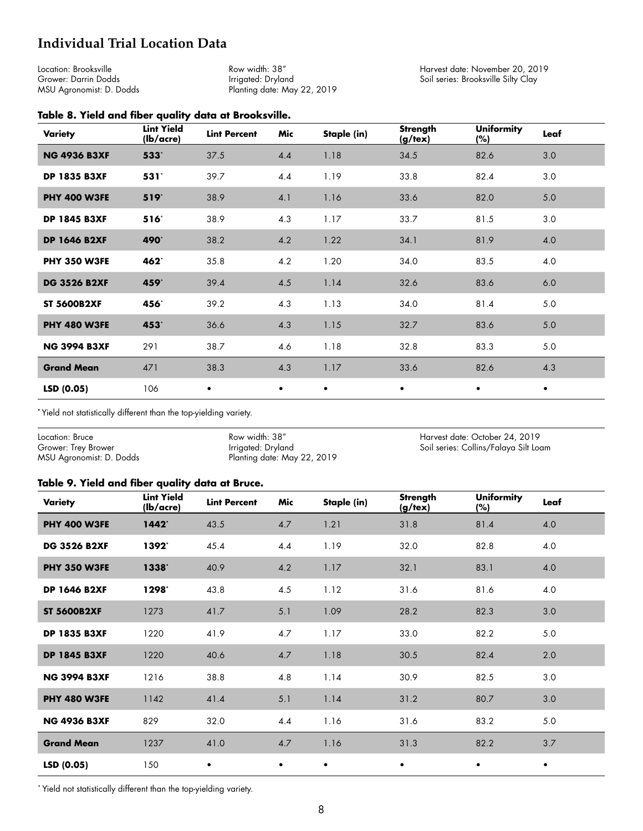# <span id="page-7-0"></span>**Individual Trial Location Data**

Location: Brooksville Grower: Darrin Dodds MSU Agronomist: D. Dodds

Row width: 38" Irrigated: Dryland Planting date: May 22, 2019 Harvest date: November 20, 2019 Soil series: Brooksville Silty Clay

#### **Table 8. Yield and fiber quality data at Brooksville.**

| Variety             | <b>Lint Yield</b><br>(lb/acre) | <b>Lint Percent</b> | Mic       | Staple (in) | Strength<br>$(g/\text{tex})$ | <b>Uniformity</b><br>(%) | Leaf      |
|---------------------|--------------------------------|---------------------|-----------|-------------|------------------------------|--------------------------|-----------|
| <b>NG 4936 B3XF</b> | 533*                           | 37.5                | 4.4       | 1.18        | 34.5                         | 82.6                     | 3.0       |
| <b>DP 1835 B3XF</b> | 531*                           | 39.7                | 4.4       | 1.19        | 33.8                         | 82.4                     | 3.0       |
| <b>PHY 400 W3FE</b> | $519*$                         | 38.9                | 4.1       | 1.16        | 33.6                         | 82.0                     | 5.0       |
| <b>DP 1845 B3XF</b> | $516*$                         | 38.9                | 4.3       | 1.17        | 33.7                         | 81.5                     | 3.0       |
| <b>DP 1646 B2XF</b> | 490 <sup>*</sup>               | 38.2                | 4.2       | 1.22        | 34.1                         | 81.9                     | 4.0       |
| <b>PHY 350 W3FE</b> | 462*                           | 35.8                | 4.2       | 1.20        | 34.0                         | 83.5                     | 4.0       |
| <b>DG 3526 B2XF</b> | 459*                           | 39.4                | 4.5       | 1.14        | 32.6                         | 83.6                     | 6.0       |
| <b>ST 5600B2XF</b>  | 456*                           | 39.2                | 4.3       | 1.13        | 34.0                         | 81.4                     | 5.0       |
| <b>PHY 480 W3FE</b> | 453*                           | 36.6                | 4.3       | 1.15        | 32.7                         | 83.6                     | 5.0       |
| <b>NG 3994 B3XF</b> | 291                            | 38.7                | 4.6       | 1.18        | 32.8                         | 83.3                     | 5.0       |
| <b>Grand Mean</b>   | 471                            | 38.3                | 4.3       | 1.17        | 33.6                         | 82.6                     | 4.3       |
| LSD(0.05)           | 106                            | $\bullet$           | $\bullet$ | ٠           | ٠                            | $\bullet$                | $\bullet$ |

**\*** Yield not statistically different than the top-yielding variety.

| Location: Bruce          | Row width: 38"              | Harvest date: October 24, 2019        |
|--------------------------|-----------------------------|---------------------------------------|
| Grower: Trey Brower      | Irrigated: Dryland          | Soil series: Collins/Falaya Silt Loam |
| MSU Agronomist: D. Dodds | Planting date: May 22, 2019 |                                       |

#### **Table 9. Yield and fiber quality data at Bruce.**

| <b>Variety</b>      | <b>Lint Yield</b><br>(lb/acre) | <b>Lint Percent</b> | Mic       | Staple (in) | Strength<br>$(g/\text{tex})$ | <b>Uniformity</b><br>(%) | Leaf |
|---------------------|--------------------------------|---------------------|-----------|-------------|------------------------------|--------------------------|------|
| <b>PHY 400 W3FE</b> | 1442                           | 43.5                | 4.7       | 1.21        | 31.8                         | 81.4                     | 4.0  |
| <b>DG 3526 B2XF</b> | 1392*                          | 45.4                | 4.4       | 1.19        | 32.0                         | 82.8                     | 4.0  |
| <b>PHY 350 W3FE</b> | 1338                           | 40.9                | 4.2       | 1.17        | 32.1                         | 83.1                     | 4.0  |
| <b>DP 1646 B2XF</b> | 1298*                          | 43.8                | 4.5       | 1.12        | 31.6                         | 81.6                     | 4.0  |
| <b>ST 5600B2XF</b>  | 1273                           | 41.7                | 5.1       | 1.09        | 28.2                         | 82.3                     | 3.0  |
| <b>DP 1835 B3XF</b> | 1220                           | 41.9                | 4.7       | 1.17        | 33.0                         | 82.2                     | 5.0  |
| <b>DP 1845 B3XF</b> | 1220                           | 40.6                | 4.7       | 1.18        | 30.5                         | 82.4                     | 2.0  |
| <b>NG 3994 B3XF</b> | 1216                           | 38.8                | 4.8       | 1.14        | 30.9                         | 82.5                     | 3.0  |
| <b>PHY 480 W3FE</b> | 1142                           | 41.4                | 5.1       | 1.14        | 31.2                         | 80.7                     | 3.0  |
| <b>NG 4936 B3XF</b> | 829                            | 32.0                | 4.4       | 1.16        | 31.6                         | 83.2                     | 5.0  |
| <b>Grand Mean</b>   | 1237                           | 41.0                | 4.7       | 1.16        | 31.3                         | 82.2                     | 3.7  |
| LSD (0.05)          | 150                            | $\bullet$           | $\bullet$ | $\bullet$   | ٠                            | ٠                        | ٠    |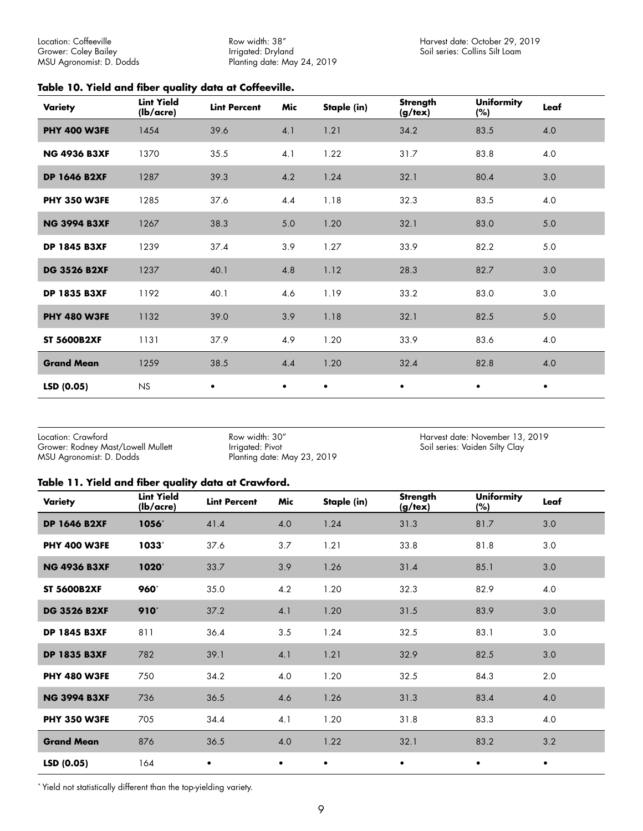<span id="page-8-0"></span>Location: Coffeeville Grower: Coley Bailey MSU Agronomist: D. Dodds Row width: 38" Irrigated: Dryland Planting date: May 24, 2019

#### **Table 10. Yield and fiber quality data at Coffeeville.**

| Variety             | <b>Lint Yield</b><br>(lb/acre) | <b>Lint Percent</b> | Mic       | Staple (in) | Strength<br>$(g/\text{tex})$ | <b>Uniformity</b><br>(%) | Leaf      |
|---------------------|--------------------------------|---------------------|-----------|-------------|------------------------------|--------------------------|-----------|
| <b>PHY 400 W3FE</b> | 1454                           | 39.6                | 4.1       | 1.21        | 34.2                         | 83.5                     | 4.0       |
| <b>NG 4936 B3XF</b> | 1370                           | 35.5                | 4.1       | 1.22        | 31.7                         | 83.8                     | 4.0       |
| <b>DP 1646 B2XF</b> | 1287                           | 39.3                | 4.2       | 1.24        | 32.1                         | 80.4                     | 3.0       |
| <b>PHY 350 W3FE</b> | 1285                           | 37.6                | 4.4       | 1.18        | 32.3                         | 83.5                     | 4.0       |
| <b>NG 3994 B3XF</b> | 1267                           | 38.3                | 5.0       | 1.20        | 32.1                         | 83.0                     | 5.0       |
| <b>DP 1845 B3XF</b> | 1239                           | 37.4                | 3.9       | 1.27        | 33.9                         | 82.2                     | 5.0       |
| <b>DG 3526 B2XF</b> | 1237                           | 40.1                | 4.8       | 1.12        | 28.3                         | 82.7                     | 3.0       |
| <b>DP 1835 B3XF</b> | 1192                           | 40.1                | 4.6       | 1.19        | 33.2                         | 83.0                     | 3.0       |
| <b>PHY 480 W3FE</b> | 1132                           | 39.0                | 3.9       | 1.18        | 32.1                         | 82.5                     | $5.0$     |
| <b>ST 5600B2XF</b>  | 1131                           | 37.9                | 4.9       | 1.20        | 33.9                         | 83.6                     | 4.0       |
| <b>Grand Mean</b>   | 1259                           | 38.5                | 4.4       | 1.20        | 32.4                         | 82.8                     | 4.0       |
| LSD (0.05)          | <b>NS</b>                      | $\bullet$           | $\bullet$ | $\bullet$   | $\bullet$                    | $\bullet$                | $\bullet$ |

Location: Crawford Grower: Rodney Mast/Lowell Mullett MSU Agronomist: D. Dodds

Row width: 30" Irrigated: Pivot Planting date: May 23, 2019 Harvest date: November 13, 2019 Soil series: Vaiden Silty Clay

#### **Table 11. Yield and fiber quality data at Crawford.**

| Variety             | <b>Lint Yield</b><br>(lb/acre) | <b>Lint Percent</b> | Mic       | Staple (in) | Strength<br>$(g/\text{tex})$ | <b>Uniformity</b><br>(%) | Leaf    |
|---------------------|--------------------------------|---------------------|-----------|-------------|------------------------------|--------------------------|---------|
| <b>DP 1646 B2XF</b> | 1056*                          | 41.4                | 4.0       | 1.24        | 31.3                         | 81.7                     | 3.0     |
| <b>PHY 400 W3FE</b> | 1033*                          | 37.6                | 3.7       | 1.21        | 33.8                         | 81.8                     | $3.0\,$ |
| <b>NG 4936 B3XF</b> | $1020^{\circ}$                 | 33.7                | 3.9       | 1.26        | 31.4                         | 85.1                     | 3.0     |
| <b>ST 5600B2XF</b>  | 960*                           | 35.0                | 4.2       | 1.20        | 32.3                         | 82.9                     | 4.0     |
| <b>DG 3526 B2XF</b> | 910*                           | 37.2                | 4.1       | 1.20        | 31.5                         | 83.9                     | 3.0     |
| <b>DP 1845 B3XF</b> | 811                            | 36.4                | 3.5       | 1.24        | 32.5                         | 83.1                     | 3.0     |
| <b>DP 1835 B3XF</b> | 782                            | 39.1                | 4.1       | 1.21        | 32.9                         | 82.5                     | 3.0     |
| <b>PHY 480 W3FE</b> | 750                            | 34.2                | 4.0       | 1.20        | 32.5                         | 84.3                     | 2.0     |
| <b>NG 3994 B3XF</b> | 736                            | 36.5                | 4.6       | 1.26        | 31.3                         | 83.4                     | 4.0     |
| <b>PHY 350 W3FE</b> | 705                            | 34.4                | 4.1       | 1.20        | 31.8                         | 83.3                     | 4.0     |
| <b>Grand Mean</b>   | 876                            | 36.5                | 4.0       | 1.22        | 32.1                         | 83.2                     | 3.2     |
| LSD (0.05)          | 164                            | ٠                   | $\bullet$ | $\bullet$   | ٠                            | $\bullet$                | ٠       |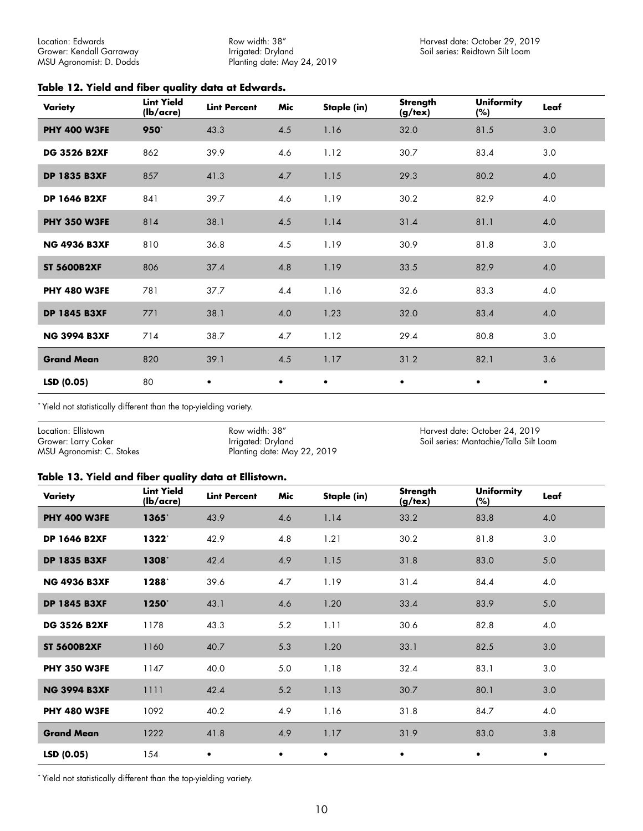<span id="page-9-0"></span>Location: Edwards Grower: Kendall Garraway MSU Agronomist: D. Dodds Row width: 38" Irrigated: Dryland Planting date: May 24, 2019

#### **Table 12. Yield and fiber quality data at Edwards.**

| <b>Variety</b>      | <b>Lint Yield</b><br>(lb/acre) | <b>Lint Percent</b> | Mic       | Staple (in) | <b>Strength</b><br>(g/text) | <b>Uniformity</b><br>(%) | Leaf      |
|---------------------|--------------------------------|---------------------|-----------|-------------|-----------------------------|--------------------------|-----------|
| <b>PHY 400 W3FE</b> | 950*                           | 43.3                | 4.5       | 1.16        | 32.0                        | 81.5                     | 3.0       |
| <b>DG 3526 B2XF</b> | 862                            | 39.9                | 4.6       | 1.12        | 30.7                        | 83.4                     | 3.0       |
| <b>DP 1835 B3XF</b> | 857                            | 41.3                | 4.7       | 1.15        | 29.3                        | 80.2                     | 4.0       |
| <b>DP 1646 B2XF</b> | 841                            | 39.7                | 4.6       | 1.19        | 30.2                        | 82.9                     | 4.0       |
| <b>PHY 350 W3FE</b> | 814                            | 38.1                | 4.5       | 1.14        | 31.4                        | 81.1                     | 4.0       |
| <b>NG 4936 B3XF</b> | 810                            | 36.8                | 4.5       | 1.19        | 30.9                        | 81.8                     | 3.0       |
| <b>ST 5600B2XF</b>  | 806                            | 37.4                | 4.8       | 1.19        | 33.5                        | 82.9                     | 4.0       |
| <b>PHY 480 W3FE</b> | 781                            | 37.7                | 4.4       | 1.16        | 32.6                        | 83.3                     | 4.0       |
| <b>DP 1845 B3XF</b> | 771                            | 38.1                | 4.0       | 1.23        | 32.0                        | 83.4                     | 4.0       |
| <b>NG 3994 B3XF</b> | 714                            | 38.7                | 4.7       | 1.12        | 29.4                        | 80.8                     | 3.0       |
| <b>Grand Mean</b>   | 820                            | 39.1                | 4.5       | 1.17        | 31.2                        | 82.1                     | 3.6       |
| LSD (0.05)          | 80                             | $\bullet$           | $\bullet$ | $\bullet$   | $\bullet$                   | $\bullet$                | $\bullet$ |

\* Yield not statistically different than the top-yielding variety.

| Location: Ellistown       | Row width: 38"              | Harvest date: October 24, 2019         |
|---------------------------|-----------------------------|----------------------------------------|
| Grower: Larry Coker       | Irrigated: Dryland          | Soil series: Mantachie/Talla Silt Loam |
| MSU Agronomist: C. Stokes | Planting date: May 22, 2019 |                                        |

#### **Table 13. Yield and fiber quality data at Ellistown.**

| <b>Variety</b>      | <b>Lint Yield</b><br>(lb/acre) | <b>Lint Percent</b> | Mic       | Staple (in) | <b>Strength</b><br>$(g/\text{tex})$ | <b>Uniformity</b><br>(%) | Leaf      |
|---------------------|--------------------------------|---------------------|-----------|-------------|-------------------------------------|--------------------------|-----------|
| <b>PHY 400 W3FE</b> | 1365*                          | 43.9                | 4.6       | 1.14        | 33.2                                | 83.8                     | 4.0       |
| <b>DP 1646 B2XF</b> | 1322*                          | 42.9                | 4.8       | 1.21        | 30.2                                | 81.8                     | 3.0       |
| <b>DP 1835 B3XF</b> | 1308*                          | 42.4                | 4.9       | 1.15        | 31.8                                | 83.0                     | 5.0       |
| <b>NG 4936 B3XF</b> | 1288*                          | 39.6                | 4.7       | 1.19        | 31.4                                | 84.4                     | 4.0       |
| <b>DP 1845 B3XF</b> | 1250*                          | 43.1                | 4.6       | 1.20        | 33.4                                | 83.9                     | 5.0       |
| <b>DG 3526 B2XF</b> | 1178                           | 43.3                | 5.2       | 1.11        | 30.6                                | 82.8                     | 4.0       |
| <b>ST 5600B2XF</b>  | 1160                           | 40.7                | 5.3       | 1.20        | 33.1                                | 82.5                     | 3.0       |
| <b>PHY 350 W3FE</b> | 1147                           | 40.0                | 5.0       | 1.18        | 32.4                                | 83.1                     | 3.0       |
| <b>NG 3994 B3XF</b> | 1111                           | 42.4                | 5.2       | 1.13        | 30.7                                | 80.1                     | 3.0       |
| <b>PHY 480 W3FE</b> | 1092                           | 40.2                | 4.9       | 1.16        | 31.8                                | 84.7                     | 4.0       |
| <b>Grand Mean</b>   | 1222                           | 41.8                | 4.9       | 1.17        | 31.9                                | 83.0                     | 3.8       |
| LSD(0.05)           | 154                            | $\bullet$           | $\bullet$ | $\bullet$   | $\bullet$                           | ٠                        | $\bullet$ |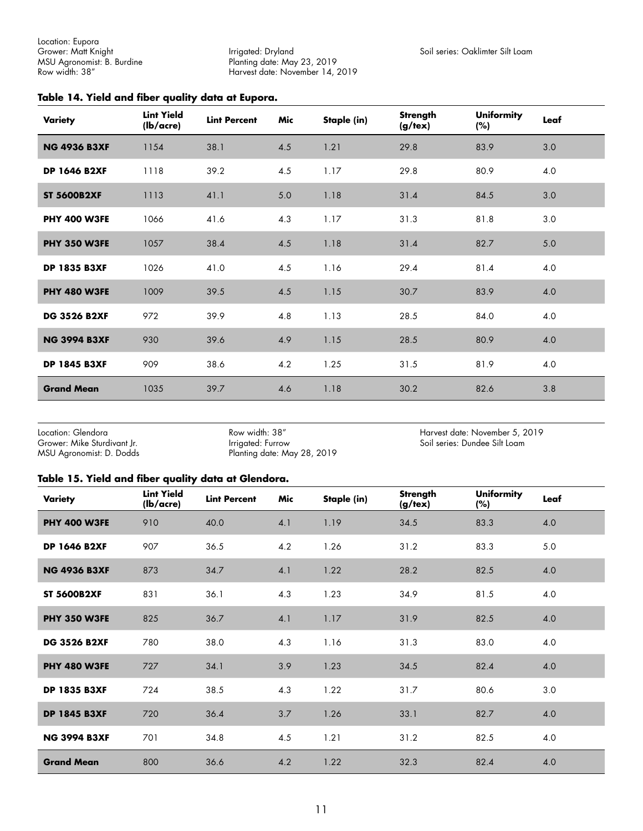<span id="page-10-0"></span>Location: Eupora Grower: Matt Knight MSU Agronomist: B. Burdine Row width: 38"

Irrigated: Dryland Planting date: May 23, 2019 Harvest date: November 14, 2019

#### **Table 14. Yield and fiber quality data at Eupora.**

| Variety             | <b>Lint Yield</b><br>(lb/acre) | <b>Lint Percent</b> | Mic | Staple (in) | <b>Strength</b><br>$(g/\text{tex})$ | <b>Uniformity</b><br>(%) | Leaf |
|---------------------|--------------------------------|---------------------|-----|-------------|-------------------------------------|--------------------------|------|
| <b>NG 4936 B3XF</b> | 1154                           | 38.1                | 4.5 | 1.21        | 29.8                                | 83.9                     | 3.0  |
| <b>DP 1646 B2XF</b> | 1118                           | 39.2                | 4.5 | 1.17        | 29.8                                | 80.9                     | 4.0  |
| <b>ST 5600B2XF</b>  | 1113                           | 41.1                | 5.0 | 1.18        | 31.4                                | 84.5                     | 3.0  |
| <b>PHY 400 W3FE</b> | 1066                           | 41.6                | 4.3 | 1.17        | 31.3                                | 81.8                     | 3.0  |
| <b>PHY 350 W3FE</b> | 1057                           | 38.4                | 4.5 | 1.18        | 31.4                                | 82.7                     | 5.0  |
| <b>DP 1835 B3XF</b> | 1026                           | 41.0                | 4.5 | 1.16        | 29.4                                | 81.4                     | 4.0  |
| <b>PHY 480 W3FE</b> | 1009                           | 39.5                | 4.5 | 1.15        | 30.7                                | 83.9                     | 4.0  |
| <b>DG 3526 B2XF</b> | 972                            | 39.9                | 4.8 | 1.13        | 28.5                                | 84.0                     | 4.0  |
| <b>NG 3994 B3XF</b> | 930                            | 39.6                | 4.9 | 1.15        | 28.5                                | 80.9                     | 4.0  |
| <b>DP 1845 B3XF</b> | 909                            | 38.6                | 4.2 | 1.25        | 31.5                                | 81.9                     | 4.0  |
| <b>Grand Mean</b>   | 1035                           | 39.7                | 4.6 | 1.18        | 30.2                                | 82.6                     | 3.8  |

Location: Glendora Grower: Mike Sturdivant Jr. MSU Agronomist: D. Dodds

Row width: 38" Irrigated: Furrow Planting date: May 28, 2019 Harvest date: November 5, 2019 Soil series: Dundee Silt Loam

#### **Table 15. Yield and fiber quality data at Glendora.**

| Variety             | <b>Lint Yield</b><br>$(lb/ \text{acre})$ | <b>Lint Percent</b> | Mic     | Staple (in) | <b>Strength</b><br>$(g/\text{tex})$ | <b>Uniformity</b><br>(%) | Leaf |
|---------------------|------------------------------------------|---------------------|---------|-------------|-------------------------------------|--------------------------|------|
| <b>PHY 400 W3FE</b> | 910                                      | 40.0                | 4.1     | 1.19        | 34.5                                | 83.3                     | 4.0  |
| <b>DP 1646 B2XF</b> | 907                                      | 36.5                | 4.2     | 1.26        | 31.2                                | 83.3                     | 5.0  |
| <b>NG 4936 B3XF</b> | 873                                      | 34.7                | 4.1     | 1.22        | 28.2                                | 82.5                     | 4.0  |
| <b>ST 5600B2XF</b>  | 831                                      | 36.1                | 4.3     | 1.23        | 34.9                                | 81.5                     | 4.0  |
| <b>PHY 350 W3FE</b> | 825                                      | 36.7                | 4.1     | 1.17        | 31.9                                | 82.5                     | 4.0  |
| <b>DG 3526 B2XF</b> | 780                                      | 38.0                | 4.3     | 1.16        | 31.3                                | 83.0                     | 4.0  |
| <b>PHY 480 W3FE</b> | 727                                      | 34.1                | 3.9     | 1.23        | 34.5                                | 82.4                     | 4.0  |
| <b>DP 1835 B3XF</b> | 724                                      | 38.5                | 4.3     | 1.22        | 31.7                                | 80.6                     | 3.0  |
| <b>DP 1845 B3XF</b> | 720                                      | 36.4                | $3.7\,$ | 1.26        | 33.1                                | 82.7                     | 4.0  |
| <b>NG 3994 B3XF</b> | 701                                      | 34.8                | 4.5     | 1.21        | 31.2                                | 82.5                     | 4.0  |
| <b>Grand Mean</b>   | 800                                      | 36.6                | 4.2     | 1.22        | 32.3                                | 82.4                     | 4.0  |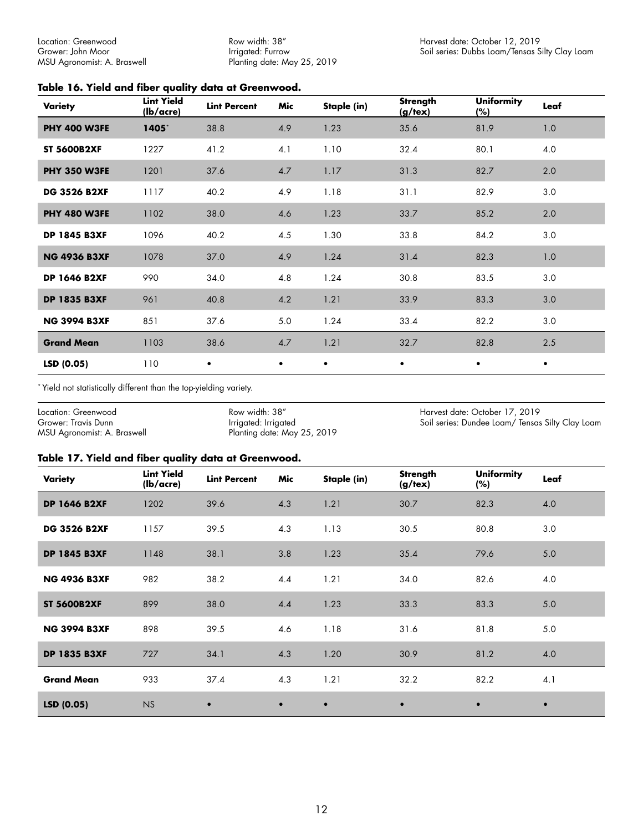<span id="page-11-0"></span>Location: Greenwood Grower: John Moor MSU Agronomist: A. Braswell

Row width: 38" Irrigated: Furrow Planting date: May 25, 2019

#### **Table 16. Yield and fiber quality data at Greenwood.**

| Variety             | <b>Lint Yield</b><br>(lb/acre) | <b>Lint Percent</b> | Mic       | Staple (in) | Strength<br>(g/text) | <b>Uniformity</b><br>$(\%)$ | Leaf      |
|---------------------|--------------------------------|---------------------|-----------|-------------|----------------------|-----------------------------|-----------|
| <b>PHY 400 W3FE</b> | 1405*                          | 38.8                | 4.9       | 1.23        | 35.6                 | 81.9                        | 1.0       |
| <b>ST 5600B2XF</b>  | 1227                           | 41.2                | 4.1       | 1.10        | 32.4                 | 80.1                        | 4.0       |
| <b>PHY 350 W3FE</b> | 1201                           | 37.6                | 4.7       | 1.17        | 31.3                 | 82.7                        | 2.0       |
| <b>DG 3526 B2XF</b> | 1117                           | 40.2                | 4.9       | 1.18        | 31.1                 | 82.9                        | 3.0       |
| <b>PHY 480 W3FE</b> | 1102                           | 38.0                | 4.6       | 1.23        | 33.7                 | 85.2                        | 2.0       |
| <b>DP 1845 B3XF</b> | 1096                           | 40.2                | 4.5       | 1.30        | 33.8                 | 84.2                        | 3.0       |
| <b>NG 4936 B3XF</b> | 1078                           | 37.0                | 4.9       | 1.24        | 31.4                 | 82.3                        | 1.0       |
| <b>DP 1646 B2XF</b> | 990                            | 34.0                | 4.8       | 1.24        | 30.8                 | 83.5                        | 3.0       |
| <b>DP 1835 B3XF</b> | 961                            | 40.8                | 4.2       | 1.21        | 33.9                 | 83.3                        | 3.0       |
| <b>NG 3994 B3XF</b> | 851                            | 37.6                | $5.0$     | 1.24        | 33.4                 | 82.2                        | 3.0       |
| <b>Grand Mean</b>   | 1103                           | 38.6                | 4.7       | 1.21        | 32.7                 | 82.8                        | 2.5       |
| LSD (0.05)          | 110                            | $\bullet$           | $\bullet$ | $\bullet$   | $\bullet$            | $\bullet$                   | $\bullet$ |

\* Yield not statistically different than the top-yielding variety.

Location: Greenwood Grower: Travis Dunn MSU Agronomist: A. Braswell Row width: 38" Irrigated: Irrigated Planting date: May 25, 2019 Harvest date: October 17, 2019 Soil series: Dundee Loam/ Tensas Silty Clay Loam

#### **Table 17. Yield and fiber quality data at Greenwood.**

| Variety             | <b>Lint Yield</b><br>(lb/acre) | <b>Lint Percent</b> | Mic       | Staple (in) | Strength<br>(g/tex) | <b>Uniformity</b><br>(%) | Leaf      |
|---------------------|--------------------------------|---------------------|-----------|-------------|---------------------|--------------------------|-----------|
| <b>DP 1646 B2XF</b> | 1202                           | 39.6                | 4.3       | 1.21        | 30.7                | 82.3                     | 4.0       |
| <b>DG 3526 B2XF</b> | 1157                           | 39.5                | 4.3       | 1.13        | 30.5                | 80.8                     | 3.0       |
| <b>DP 1845 B3XF</b> | 1148                           | 38.1                | 3.8       | 1.23        | 35.4                | 79.6                     | 5.0       |
| <b>NG 4936 B3XF</b> | 982                            | 38.2                | 4.4       | 1.21        | 34.0                | 82.6                     | 4.0       |
| <b>ST 5600B2XF</b>  | 899                            | 38.0                | 4.4       | 1.23        | 33.3                | 83.3                     | 5.0       |
| <b>NG 3994 B3XF</b> | 898                            | 39.5                | 4.6       | 1.18        | 31.6                | 81.8                     | 5.0       |
| <b>DP 1835 B3XF</b> | 727                            | 34.1                | 4.3       | 1.20        | 30.9                | 81.2                     | 4.0       |
| <b>Grand Mean</b>   | 933                            | 37.4                | 4.3       | 1.21        | 32.2                | 82.2                     | 4.1       |
| LSD(0.05)           | <b>NS</b>                      | $\bullet$           | $\bullet$ | $\bullet$   | $\bullet$           | $\bullet$                | $\bullet$ |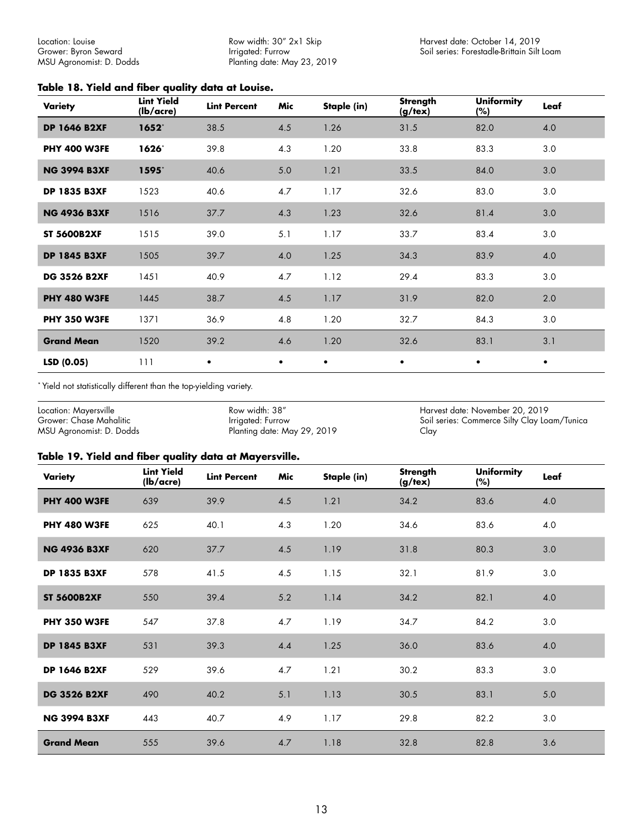Row width: 30" 2x1 Skip Irrigated: Furrow Planting date: May 23, 2019

#### <span id="page-12-0"></span>**Table 18. Yield and fiber quality data at Louise.**

| Variety             | <b>Lint Yield</b><br>(lb/acre) | <b>Lint Percent</b> | Mic       | Staple (in) | Strength<br>(g/text) | <b>Uniformity</b><br>(%) | Leaf      |
|---------------------|--------------------------------|---------------------|-----------|-------------|----------------------|--------------------------|-----------|
| <b>DP 1646 B2XF</b> | $1652^*$                       | 38.5                | 4.5       | 1.26        | 31.5                 | 82.0                     | 4.0       |
| <b>PHY 400 W3FE</b> | 1626                           | 39.8                | 4.3       | 1.20        | 33.8                 | 83.3                     | 3.0       |
| <b>NG 3994 B3XF</b> | $1595^*$                       | 40.6                | 5.0       | 1.21        | 33.5                 | 84.0                     | 3.0       |
| <b>DP 1835 B3XF</b> | 1523                           | 40.6                | 4.7       | 1.17        | 32.6                 | 83.0                     | 3.0       |
| <b>NG 4936 B3XF</b> | 1516                           | 37.7                | 4.3       | 1.23        | 32.6                 | 81.4                     | 3.0       |
| <b>ST 5600B2XF</b>  | 1515                           | 39.0                | 5.1       | 1.17        | 33.7                 | 83.4                     | 3.0       |
| <b>DP 1845 B3XF</b> | 1505                           | 39.7                | 4.0       | 1.25        | 34.3                 | 83.9                     | 4.0       |
| <b>DG 3526 B2XF</b> | 1451                           | 40.9                | 4.7       | 1.12        | 29.4                 | 83.3                     | 3.0       |
| <b>PHY 480 W3FE</b> | 1445                           | 38.7                | 4.5       | 1.17        | 31.9                 | 82.0                     | 2.0       |
| <b>PHY 350 W3FE</b> | 1371                           | 36.9                | 4.8       | 1.20        | 32.7                 | 84.3                     | 3.0       |
| <b>Grand Mean</b>   | 1520                           | 39.2                | 4.6       | 1.20        | 32.6                 | 83.1                     | 3.1       |
| LSD (0.05)          | 111                            | $\bullet$           | $\bullet$ | $\bullet$   | $\bullet$            | $\bullet$                | $\bullet$ |

\* Yield not statistically different than the top-yielding variety.

Location: Mayersville Grower: Chase Mahalitic MSU Agronomist: D. Dodds

Row width: 38" Irrigated: Furrow Planting date: May 29, 2019

Harvest date: November 20, 2019 Soil series: Commerce Silty Clay Loam/Tunica Clay

#### **Table 19. Yield and fiber quality data at Mayersville.**

| Variety             | <b>Lint Yield</b><br>(lb/acre) | <b>Lint Percent</b> | Mic | Staple (in) | Strength<br>$(g/\text{tex})$ | <b>Uniformity</b><br>(%) | Leaf |
|---------------------|--------------------------------|---------------------|-----|-------------|------------------------------|--------------------------|------|
| <b>PHY 400 W3FE</b> | 639                            | 39.9                | 4.5 | 1.21        | 34.2                         | 83.6                     | 4.0  |
| <b>PHY 480 W3FE</b> | 625                            | 40.1                | 4.3 | 1.20        | 34.6                         | 83.6                     | 4.0  |
| <b>NG 4936 B3XF</b> | 620                            | 37.7                | 4.5 | 1.19        | 31.8                         | 80.3                     | 3.0  |
| <b>DP 1835 B3XF</b> | 578                            | 41.5                | 4.5 | 1.15        | 32.1                         | 81.9                     | 3.0  |
| <b>ST 5600B2XF</b>  | 550                            | 39.4                | 5.2 | 1.14        | 34.2                         | 82.1                     | 4.0  |
| <b>PHY 350 W3FE</b> | 547                            | 37.8                | 4.7 | 1.19        | 34.7                         | 84.2                     | 3.0  |
| <b>DP 1845 B3XF</b> | 531                            | 39.3                | 4.4 | 1.25        | 36.0                         | 83.6                     | 4.0  |
| <b>DP 1646 B2XF</b> | 529                            | 39.6                | 4.7 | 1.21        | 30.2                         | 83.3                     | 3.0  |
| <b>DG 3526 B2XF</b> | 490                            | 40.2                | 5.1 | 1.13        | 30.5                         | 83.1                     | 5.0  |
| <b>NG 3994 B3XF</b> | 443                            | 40.7                | 4.9 | 1.17        | 29.8                         | 82.2                     | 3.0  |
| <b>Grand Mean</b>   | 555                            | 39.6                | 4.7 | 1.18        | 32.8                         | 82.8                     | 3.6  |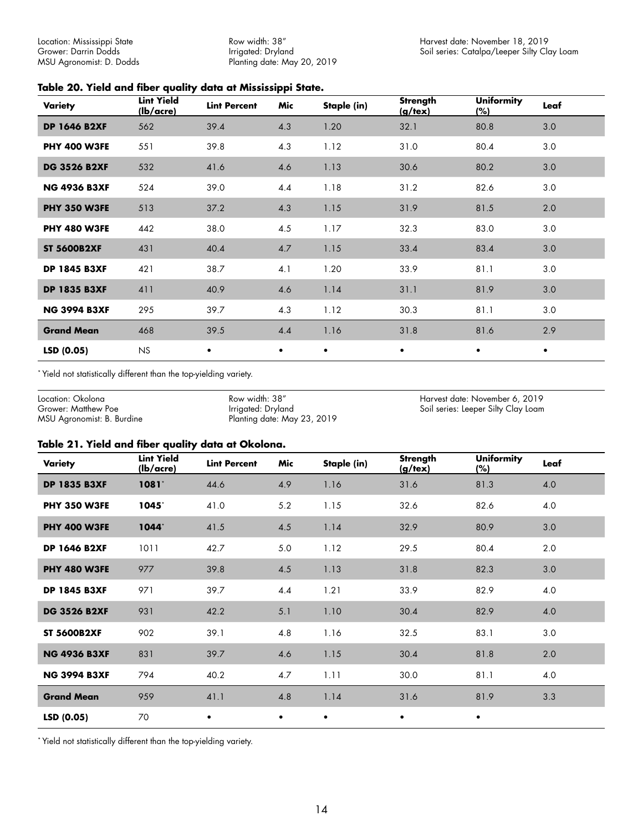<span id="page-13-0"></span>Location: Mississippi State Grower: Darrin Dodds MSU Agronomist: D. Dodds

Row width: 38" Irrigated: Dryland Planting date: May 20, 2019

#### **Table 20. Yield and fiber quality data at Mississippi State.**

| Variety             | <b>Lint Yield</b><br>(lb/acre) | <b>Lint Percent</b> | Mic       | Staple (in) | Strength<br>$(g/\text{tex})$ | <b>Uniformity</b><br>(%) | Leaf      |
|---------------------|--------------------------------|---------------------|-----------|-------------|------------------------------|--------------------------|-----------|
| <b>DP 1646 B2XF</b> | 562                            | 39.4                | 4.3       | 1.20        | 32.1                         | 80.8                     | 3.0       |
| <b>PHY 400 W3FE</b> | 551                            | 39.8                | 4.3       | 1.12        | 31.0                         | 80.4                     | 3.0       |
| <b>DG 3526 B2XF</b> | 532                            | 41.6                | 4.6       | 1.13        | 30.6                         | 80.2                     | 3.0       |
| <b>NG 4936 B3XF</b> | 524                            | 39.0                | 4.4       | 1.18        | 31.2                         | 82.6                     | 3.0       |
| <b>PHY 350 W3FE</b> | 513                            | 37.2                | 4.3       | 1.15        | 31.9                         | 81.5                     | 2.0       |
| <b>PHY 480 W3FE</b> | 442                            | 38.0                | 4.5       | 1.17        | 32.3                         | 83.0                     | 3.0       |
| <b>ST 5600B2XF</b>  | 431                            | 40.4                | 4.7       | 1.15        | 33.4                         | 83.4                     | 3.0       |
| <b>DP 1845 B3XF</b> | 421                            | 38.7                | 4.1       | 1.20        | 33.9                         | 81.1                     | 3.0       |
| <b>DP 1835 B3XF</b> | 411                            | 40.9                | 4.6       | 1.14        | 31.1                         | 81.9                     | 3.0       |
| <b>NG 3994 B3XF</b> | 295                            | 39.7                | 4.3       | 1.12        | 30.3                         | 81.1                     | 3.0       |
| <b>Grand Mean</b>   | 468                            | 39.5                | 4.4       | 1.16        | 31.8                         | 81.6                     | 2.9       |
| LSD (0.05)          | <b>NS</b>                      | $\bullet$           | $\bullet$ | $\bullet$   | $\bullet$                    | $\bullet$                | $\bullet$ |

\* Yield not statistically different than the top-yielding variety.

Location: Okolona Grower: Matthew Poe MSU Agronomist: B. Burdine

Row width: 38" Irrigated: Dryland Planting date: May 23, 2019 Harvest date: November 6, 2019 Soil series: Leeper Silty Clay Loam

#### **Table 21. Yield and fiber quality data at Okolona.**

| Variety             | <b>Lint Yield</b><br>(lb/acre) | <b>Lint Percent</b> | Mic       | Staple (in) | <b>Strength</b><br>$(g/\text{tex})$ | <b>Uniformity</b><br>(%) | Leaf |
|---------------------|--------------------------------|---------------------|-----------|-------------|-------------------------------------|--------------------------|------|
| <b>DP 1835 B3XF</b> | $1081*$                        | 44.6                | 4.9       | 1.16        | 31.6                                | 81.3                     | 4.0  |
| <b>PHY 350 W3FE</b> | $1045^\circ$                   | 41.0                | 5.2       | 1.15        | 32.6                                | 82.6                     | 4.0  |
| <b>PHY 400 W3FE</b> | $1044*$                        | 41.5                | 4.5       | 1.14        | 32.9                                | 80.9                     | 3.0  |
| <b>DP 1646 B2XF</b> | 1011                           | 42.7                | 5.0       | 1.12        | 29.5                                | 80.4                     | 2.0  |
| <b>PHY 480 W3FE</b> | 977                            | 39.8                | 4.5       | 1.13        | 31.8                                | 82.3                     | 3.0  |
| <b>DP 1845 B3XF</b> | 971                            | 39.7                | 4.4       | 1.21        | 33.9                                | 82.9                     | 4.0  |
| <b>DG 3526 B2XF</b> | 931                            | 42.2                | 5.1       | 1.10        | 30.4                                | 82.9                     | 4.0  |
| <b>ST 5600B2XF</b>  | 902                            | 39.1                | 4.8       | 1.16        | 32.5                                | 83.1                     | 3.0  |
| <b>NG 4936 B3XF</b> | 831                            | 39.7                | 4.6       | 1.15        | 30.4                                | 81.8                     | 2.0  |
| <b>NG 3994 B3XF</b> | 794                            | 40.2                | 4.7       | 1.11        | 30.0                                | 81.1                     | 4.0  |
| <b>Grand Mean</b>   | 959                            | 41.1                | 4.8       | 1.14        | 31.6                                | 81.9                     | 3.3  |
| LSD (0.05)          | 70                             | $\bullet$           | $\bullet$ | $\bullet$   | $\bullet$                           | $\bullet$                |      |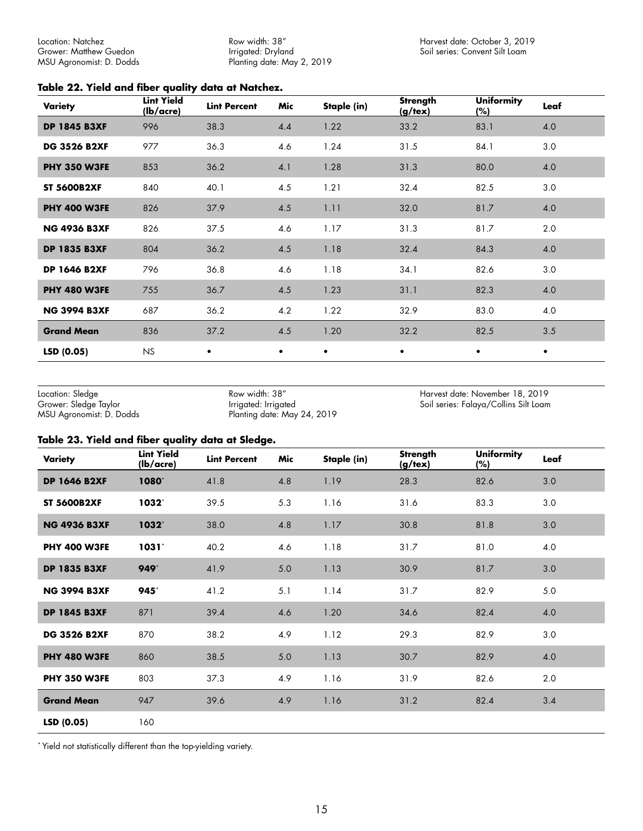<span id="page-14-0"></span>Location: Natchez Grower: Matthew Guedon MSU Agronomist: D. Dodds Row width: 38" Irrigated: Dryland Planting date: May 2, 2019

#### **Table 22. Yield and fiber quality data at Natchez.**

| Variety             | <b>Lint Yield</b><br>(lb/acre) | <b>Lint Percent</b> | Mic | Staple (in) | Strength<br>$(g/\text{tex})$ | <b>Uniformity</b><br>(%) | Leaf |
|---------------------|--------------------------------|---------------------|-----|-------------|------------------------------|--------------------------|------|
| <b>DP 1845 B3XF</b> | 996                            | 38.3                | 4.4 | 1.22        | 33.2                         | 83.1                     | 4.0  |
| <b>DG 3526 B2XF</b> | 977                            | 36.3                | 4.6 | 1.24        | 31.5                         | 84.1                     | 3.0  |
| <b>PHY 350 W3FE</b> | 853                            | 36.2                | 4.1 | 1.28        | 31.3                         | 80.0                     | 4.0  |
| <b>ST 5600B2XF</b>  | 840                            | 40.1                | 4.5 | 1.21        | 32.4                         | 82.5                     | 3.0  |
| <b>PHY 400 W3FE</b> | 826                            | 37.9                | 4.5 | 1.11        | 32.0                         | 81.7                     | 4.0  |
| <b>NG 4936 B3XF</b> | 826                            | 37.5                | 4.6 | 1.17        | 31.3                         | 81.7                     | 2.0  |
| <b>DP 1835 B3XF</b> | 804                            | 36.2                | 4.5 | 1.18        | 32.4                         | 84.3                     | 4.0  |
| <b>DP 1646 B2XF</b> | 796                            | 36.8                | 4.6 | 1.18        | 34.1                         | 82.6                     | 3.0  |
| <b>PHY 480 W3FE</b> | 755                            | 36.7                | 4.5 | 1.23        | 31.1                         | 82.3                     | 4.0  |
| <b>NG 3994 B3XF</b> | 687                            | 36.2                | 4.2 | 1.22        | 32.9                         | 83.0                     | 4.0  |
| <b>Grand Mean</b>   | 836                            | 37.2                | 4.5 | 1.20        | 32.2                         | 82.5                     | 3.5  |
| LSD(0.05)           | <b>NS</b>                      | $\bullet$           | ٠   | ٠           | ٠                            | ٠                        | ٠    |

Location: Sledge Grower: Sledge Taylor MSU Agronomist: D. Dodds

Row width: 38" Irrigated: Irrigated Planting date: May 24, 2019 Harvest date: November 18, 2019 Soil series: Falaya/Collins Silt Loam

#### **Table 23. Yield and fiber quality data at Sledge.**

| Variety             | <b>Lint Yield</b><br>(lb/acre) | <b>Lint Percent</b> | Mic | Staple (in) | Strength<br>$(g/\text{tex})$ | <b>Uniformity</b><br>$(\%)$ | Leaf |
|---------------------|--------------------------------|---------------------|-----|-------------|------------------------------|-----------------------------|------|
| <b>DP 1646 B2XF</b> | 1080*                          | 41.8                | 4.8 | 1.19        | 28.3                         | 82.6                        | 3.0  |
| <b>ST 5600B2XF</b>  | 1032*                          | 39.5                | 5.3 | 1.16        | 31.6                         | 83.3                        | 3.0  |
| <b>NG 4936 B3XF</b> | 1032*                          | 38.0                | 4.8 | 1.17        | 30.8                         | 81.8                        | 3.0  |
| <b>PHY 400 W3FE</b> | 1031'                          | 40.2                | 4.6 | 1.18        | 31.7                         | 81.0                        | 4.0  |
| <b>DP 1835 B3XF</b> | 949*                           | 41.9                | 5.0 | 1.13        | 30.9                         | 81.7                        | 3.0  |
| <b>NG 3994 B3XF</b> | 945*                           | 41.2                | 5.1 | 1.14        | 31.7                         | 82.9                        | 5.0  |
| <b>DP 1845 B3XF</b> | 871                            | 39.4                | 4.6 | 1.20        | 34.6                         | 82.4                        | 4.0  |
| <b>DG 3526 B2XF</b> | 870                            | 38.2                | 4.9 | 1.12        | 29.3                         | 82.9                        | 3.0  |
| <b>PHY 480 W3FE</b> | 860                            | 38.5                | 5.0 | 1.13        | 30.7                         | 82.9                        | 4.0  |
| <b>PHY 350 W3FE</b> | 803                            | 37.3                | 4.9 | 1.16        | 31.9                         | 82.6                        | 2.0  |
| <b>Grand Mean</b>   | 947                            | 39.6                | 4.9 | 1.16        | 31.2                         | 82.4                        | 3.4  |
| LSD (0.05)          | 160                            |                     |     |             |                              |                             |      |